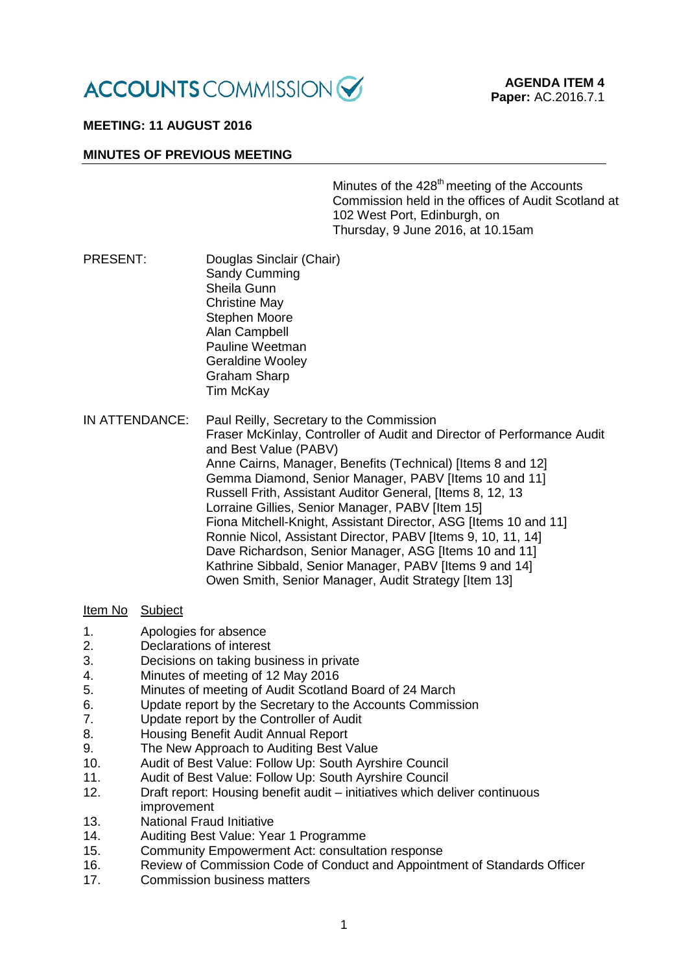

# **MEETING: 11 AUGUST 2016**

### **MINUTES OF PREVIOUS MEETING**

Minutes of the 428<sup>th</sup> meeting of the Accounts Commission held in the offices of Audit Scotland at 102 West Port, Edinburgh, on Thursday, 9 June 2016, at 10.15am

- PRESENT: Douglas Sinclair (Chair) Sandy Cumming Sheila Gunn Christine May Stephen Moore Alan Campbell Pauline Weetman Geraldine Wooley Graham Sharp Tim McKay
- IN ATTENDANCE: Paul Reilly, Secretary to the Commission Fraser McKinlay, Controller of Audit and Director of Performance Audit and Best Value (PABV) Anne Cairns, Manager, Benefits (Technical) [Items 8 and 12] Gemma Diamond, Senior Manager, PABV [Items 10 and 11] Russell Frith, Assistant Auditor General, [Items 8, 12, 13 Lorraine Gillies, Senior Manager, PABV [Item 15] Fiona Mitchell-Knight, Assistant Director, ASG [Items 10 and 11] Ronnie Nicol, Assistant Director, PABV [Items 9, 10, 11, 14] Dave Richardson, Senior Manager, ASG Iltems 10 and 111 Kathrine Sibbald, Senior Manager, PABV Iltems 9 and 141 Owen Smith, Senior Manager, Audit Strategy [Item 13]

## Item No Subject

- 1. Apologies for absence
- 2. Declarations of interest
- 3. Decisions on taking business in private
- 4. Minutes of meeting of 12 May 2016
- 5. Minutes of meeting of Audit Scotland Board of 24 March<br>6 **Minutes Fernet Audit Secretary to the Accounts Commiss**
- 6. Update report by the Secretary to the Accounts Commission<br>7. Update report by the Controller of Audit
- 7. Update report by the Controller of Audit
- 8. Housing Benefit Audit Annual Report
- 9. The New Approach to Auditing Best Value
- 10. Audit of Best Value: Follow Up: South Ayrshire Council
- 11. Audit of Best Value: Follow Up: South Ayrshire Council
- 12. Draft report: Housing benefit audit initiatives which deliver continuous improvement
- 13. National Fraud Initiative
- 14. Auditing Best Value: Year 1 Programme
- 15. Community Empowerment Act: consultation response
- 16. Review of Commission Code of Conduct and Appointment of Standards Officer
- 17. Commission business matters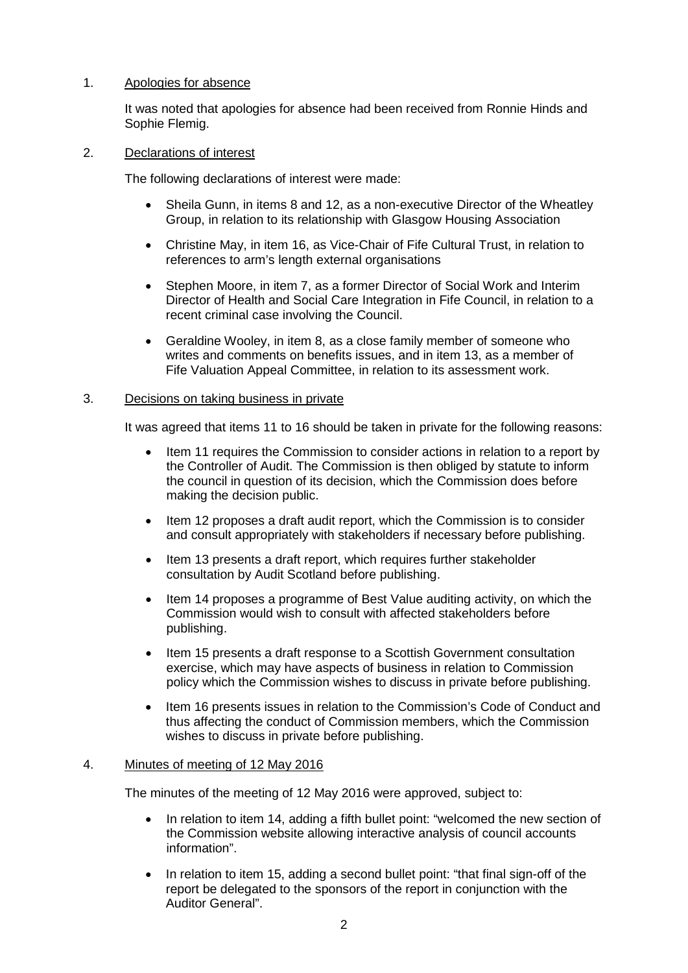# 1. Apologies for absence

It was noted that apologies for absence had been received from Ronnie Hinds and Sophie Flemig.

## 2. Declarations of interest

The following declarations of interest were made:

- Sheila Gunn, in items 8 and 12, as a non-executive Director of the Wheatley Group, in relation to its relationship with Glasgow Housing Association
- Christine May, in item 16, as Vice-Chair of Fife Cultural Trust, in relation to references to arm's length external organisations
- Stephen Moore, in item 7, as a former Director of Social Work and Interim Director of Health and Social Care Integration in Fife Council, in relation to a recent criminal case involving the Council.
- Geraldine Wooley, in item 8, as a close family member of someone who writes and comments on benefits issues, and in item 13, as a member of Fife Valuation Appeal Committee, in relation to its assessment work.

## 3. Decisions on taking business in private

It was agreed that items 11 to 16 should be taken in private for the following reasons:

- Item 11 requires the Commission to consider actions in relation to a report by the Controller of Audit. The Commission is then obliged by statute to inform the council in question of its decision, which the Commission does before making the decision public.
- Item 12 proposes a draft audit report, which the Commission is to consider and consult appropriately with stakeholders if necessary before publishing.
- Item 13 presents a draft report, which requires further stakeholder consultation by Audit Scotland before publishing.
- Item 14 proposes a programme of Best Value auditing activity, on which the Commission would wish to consult with affected stakeholders before publishing.
- Item 15 presents a draft response to a Scottish Government consultation exercise, which may have aspects of business in relation to Commission policy which the Commission wishes to discuss in private before publishing.
- Item 16 presents issues in relation to the Commission's Code of Conduct and thus affecting the conduct of Commission members, which the Commission wishes to discuss in private before publishing.

### 4. Minutes of meeting of 12 May 2016

The minutes of the meeting of 12 May 2016 were approved, subject to:

- In relation to item 14, adding a fifth bullet point: "welcomed the new section of the Commission website allowing interactive analysis of council accounts information".
- In relation to item 15, adding a second bullet point: "that final sign-off of the report be delegated to the sponsors of the report in conjunction with the Auditor General".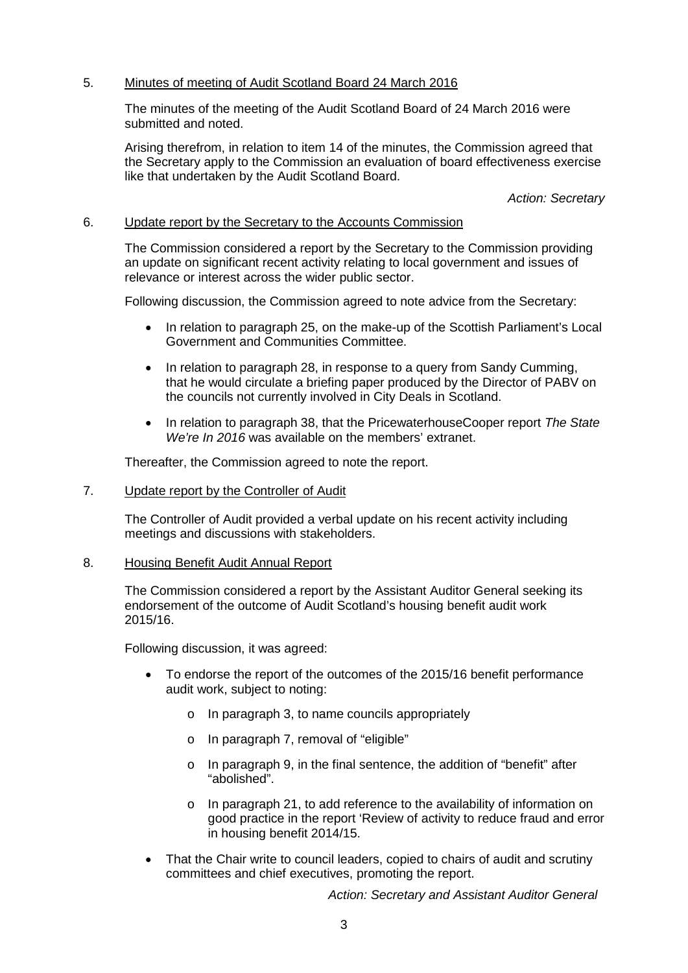# 5. Minutes of meeting of Audit Scotland Board 24 March 2016

The minutes of the meeting of the Audit Scotland Board of 24 March 2016 were submitted and noted.

Arising therefrom, in relation to item 14 of the minutes, the Commission agreed that the Secretary apply to the Commission an evaluation of board effectiveness exercise like that undertaken by the Audit Scotland Board.

*Action: Secretary*

## 6. Update report by the Secretary to the Accounts Commission

The Commission considered a report by the Secretary to the Commission providing an update on significant recent activity relating to local government and issues of relevance or interest across the wider public sector.

Following discussion, the Commission agreed to note advice from the Secretary:

- In relation to paragraph 25, on the make-up of the Scottish Parliament's Local Government and Communities Committee.
- In relation to paragraph 28, in response to a query from Sandy Cumming, that he would circulate a briefing paper produced by the Director of PABV on the councils not currently involved in City Deals in Scotland.
- In relation to paragraph 38, that the PricewaterhouseCooper report *The State We're In 2016* was available on the members' extranet.

Thereafter, the Commission agreed to note the report.

7. Update report by the Controller of Audit

The Controller of Audit provided a verbal update on his recent activity including meetings and discussions with stakeholders.

8. Housing Benefit Audit Annual Report

The Commission considered a report by the Assistant Auditor General seeking its endorsement of the outcome of Audit Scotland's housing benefit audit work 2015/16.

Following discussion, it was agreed:

- To endorse the report of the outcomes of the 2015/16 benefit performance audit work, subject to noting:
	- o In paragraph 3, to name councils appropriately
	- o In paragraph 7, removal of "eligible"
	- o In paragraph 9, in the final sentence, the addition of "benefit" after "abolished".
	- o In paragraph 21, to add reference to the availability of information on good practice in the report 'Review of activity to reduce fraud and error in housing benefit 2014/15.
- That the Chair write to council leaders, copied to chairs of audit and scrutiny committees and chief executives, promoting the report.

*Action: Secretary and Assistant Auditor General*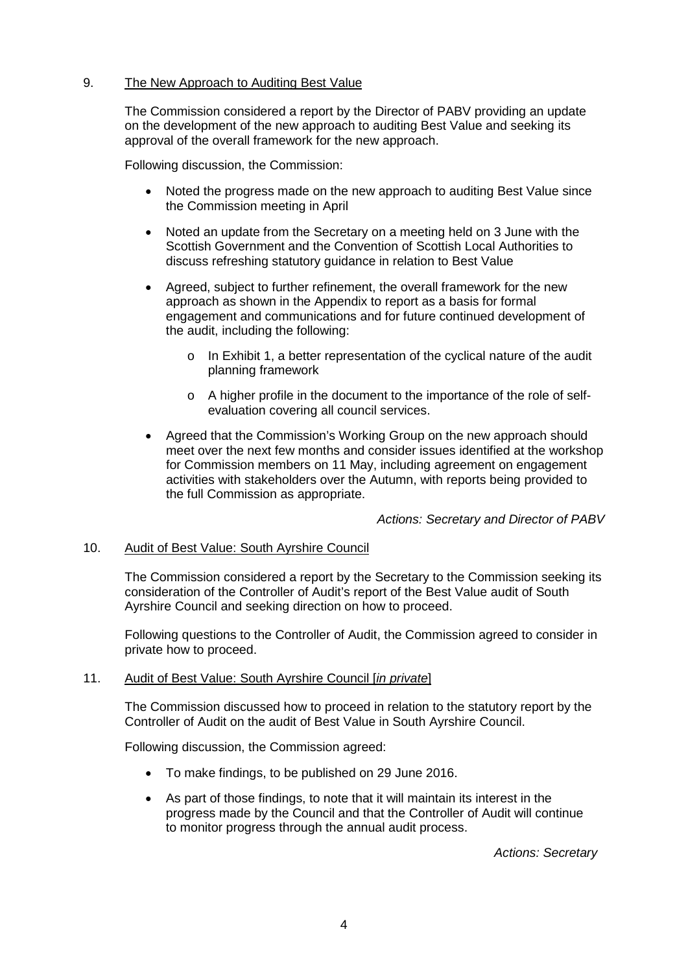## 9. The New Approach to Auditing Best Value

The Commission considered a report by the Director of PABV providing an update on the development of the new approach to auditing Best Value and seeking its approval of the overall framework for the new approach.

Following discussion, the Commission:

- Noted the progress made on the new approach to auditing Best Value since the Commission meeting in April
- Noted an update from the Secretary on a meeting held on 3 June with the Scottish Government and the Convention of Scottish Local Authorities to discuss refreshing statutory guidance in relation to Best Value
- Agreed, subject to further refinement, the overall framework for the new approach as shown in the Appendix to report as a basis for formal engagement and communications and for future continued development of the audit, including the following:
	- o In Exhibit 1, a better representation of the cyclical nature of the audit planning framework
	- o A higher profile in the document to the importance of the role of selfevaluation covering all council services.
- Agreed that the Commission's Working Group on the new approach should meet over the next few months and consider issues identified at the workshop for Commission members on 11 May, including agreement on engagement activities with stakeholders over the Autumn, with reports being provided to the full Commission as appropriate.

*Actions: Secretary and Director of PABV*

### 10. Audit of Best Value: South Ayrshire Council

The Commission considered a report by the Secretary to the Commission seeking its consideration of the Controller of Audit's report of the Best Value audit of South Ayrshire Council and seeking direction on how to proceed.

Following questions to the Controller of Audit, the Commission agreed to consider in private how to proceed.

### 11. Audit of Best Value: South Ayrshire Council [*in private*]

The Commission discussed how to proceed in relation to the statutory report by the Controller of Audit on the audit of Best Value in South Ayrshire Council.

Following discussion, the Commission agreed:

- To make findings, to be published on 29 June 2016.
- As part of those findings, to note that it will maintain its interest in the progress made by the Council and that the Controller of Audit will continue to monitor progress through the annual audit process.

*Actions: Secretary*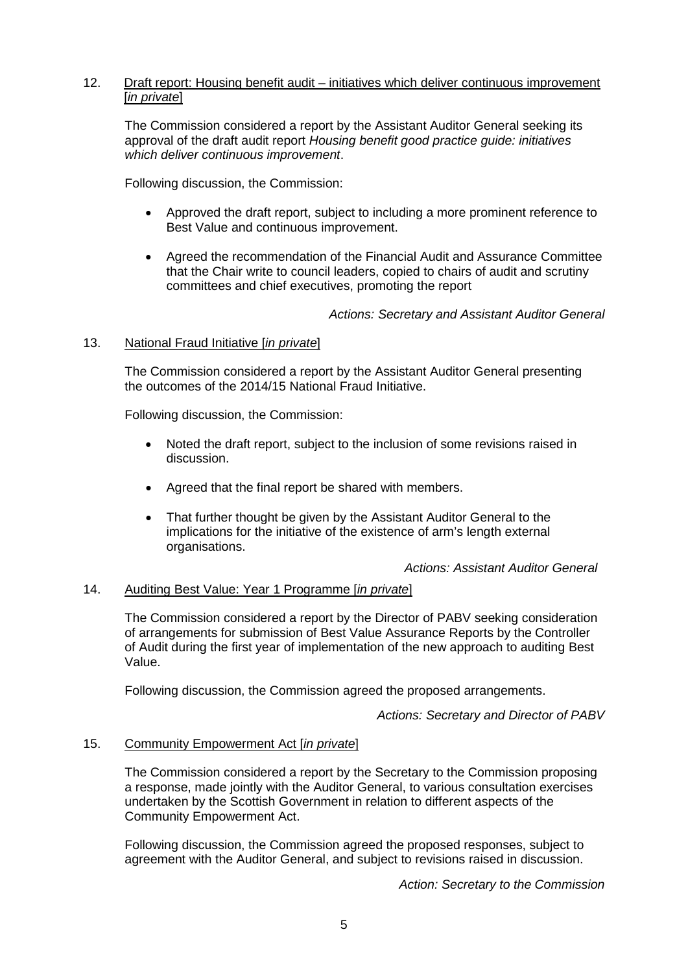## 12. Draft report: Housing benefit audit – initiatives which deliver continuous improvement [*in private*]

The Commission considered a report by the Assistant Auditor General seeking its approval of the draft audit report *Housing benefit good practice guide: initiatives which deliver continuous improvement*.

Following discussion, the Commission:

- Approved the draft report, subject to including a more prominent reference to Best Value and continuous improvement.
- Agreed the recommendation of the Financial Audit and Assurance Committee that the Chair write to council leaders, copied to chairs of audit and scrutiny committees and chief executives, promoting the report

*Actions: Secretary and Assistant Auditor General*

## 13. National Fraud Initiative [*in private*]

The Commission considered a report by the Assistant Auditor General presenting the outcomes of the 2014/15 National Fraud Initiative.

Following discussion, the Commission:

- Noted the draft report, subject to the inclusion of some revisions raised in discussion.
- Agreed that the final report be shared with members.
- That further thought be given by the Assistant Auditor General to the implications for the initiative of the existence of arm's length external organisations.

*Actions: Assistant Auditor General*

### 14. Auditing Best Value: Year 1 Programme [*in private*]

The Commission considered a report by the Director of PABV seeking consideration of arrangements for submission of Best Value Assurance Reports by the Controller of Audit during the first year of implementation of the new approach to auditing Best Value.

Following discussion, the Commission agreed the proposed arrangements.

*Actions: Secretary and Director of PABV*

### 15. Community Empowerment Act [*in private*]

The Commission considered a report by the Secretary to the Commission proposing a response, made jointly with the Auditor General, to various consultation exercises undertaken by the Scottish Government in relation to different aspects of the Community Empowerment Act.

Following discussion, the Commission agreed the proposed responses, subject to agreement with the Auditor General, and subject to revisions raised in discussion.

*Action: Secretary to the Commission*